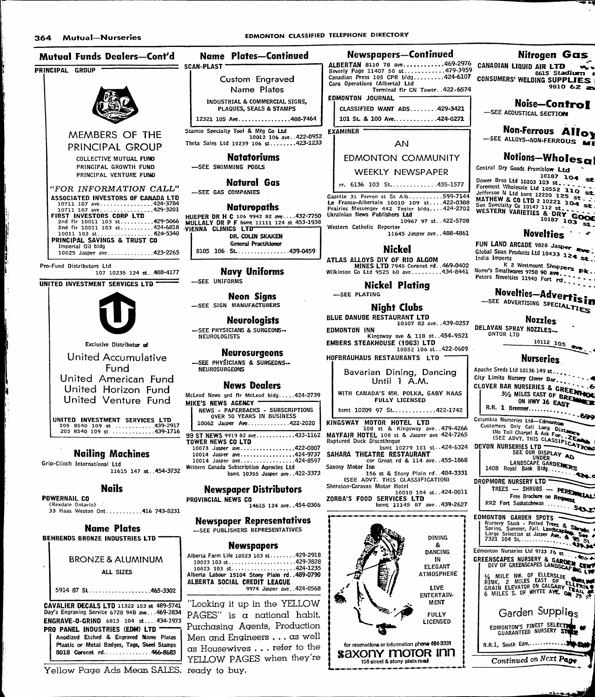| <b>Mutual-Nurseries</b><br>364                                                                                                                                                                                                                                                                         | <b>EDMONTON CLASSIFIEI</b>                                                                                                                                                                                                                                                                                                         |
|--------------------------------------------------------------------------------------------------------------------------------------------------------------------------------------------------------------------------------------------------------------------------------------------------------|------------------------------------------------------------------------------------------------------------------------------------------------------------------------------------------------------------------------------------------------------------------------------------------------------------------------------------|
| Mutual Funds Dealers-Cont'd Name Plates-Continued                                                                                                                                                                                                                                                      |                                                                                                                                                                                                                                                                                                                                    |
| PRINCIPAL GROUP<br>MEMBERS OF THE<br>PRINCIPAL GROUP<br>COLLECTIVE MUTUAL FUND<br>PRINCIPAL GROWTH FUND<br>PRINCIPAL VENTURE FUND<br>"FOR INFORMATION CALL"<br>ASSOCIATED INVESTORS OF CANADA LTD<br>10711 107 ave424-3784                                                                             | <b>SCAN-PLAST</b><br>Custom Engraved<br>Name Plates<br>INDUSTRIAL & COMMERCIAL SIGNS,<br>PLAQUES, SEALS & STAMPS<br>12321 105 Ave488-7464<br>Stamco Specialty Tool & Mfg Co Ltd<br>10012 106 ave422-0952<br>Theta Sales Ltd 10239 106 st423-1233<br><b>Natatoriums</b><br>-SEE SWIMMING POOLS<br>Natural Gas<br>-SEE GAS COMPANIES |
| 10711 107 ave429-3201<br>FIRST INVESTORS CORP LTD<br>2nd fir 10011 103 st429-5066<br>2nd fir 10011 103 st424-6818 VIENNA CLINICS LTD<br>10011 103 st424-5340<br>PRINCIPAL SAVINGS & TRUST CO<br>Imperial Oil bldg<br>10025 Jasper ave423-2265<br>Pro-Fund Distributors Ltd<br>107 10235 124 st488-4177 | <b>Naturopaths</b><br>HUEPER DR H C 106 9942 82 ave432-7750<br>MULLALY DR P F bsmt 11111 124 st 453-1938<br>DR. COLIN SKAKEN<br><b>General Practitioner</b><br>$8105$ 106 St439-0459<br><b>Navy Uniforms</b>                                                                                                                       |
| UNITED INVESTMENT SERVICES LTD                                                                                                                                                                                                                                                                         | -SEE UNIFORMS<br><b>Neon Signs</b><br>-SEE SIGN MANUFACTURERS<br><b>Neurologists</b><br>-SEE PHYSICIANS & SURGEONS --<br>NEUROLOGISTS                                                                                                                                                                                              |
| Exclusive Distributor of<br>United Accumulative<br>Fund                                                                                                                                                                                                                                                | <b>Neurosurgeons</b><br>-SEE PHYŚICIANS & SURGEONS--<br><b>NEUROSURGEONS</b>                                                                                                                                                                                                                                                       |
| United American Fund<br>United Horizon Fund<br>United Venture Fund<br>UNITED INVESTMENT SERVICES LTD<br>205 8540 109 st 439-2917<br>205 8540 109 st 439-1716                                                                                                                                           | <b>News Dealers</b><br>McLeod News grd flr McLeod bidg424-2739<br>MIKE'S NEWS AGENCY<br>NEWS - PAPERBACKS - SUBSCRIPTIONS<br>OVER 50 YEARS IN BUSINESS<br>10062 Jasper Ave422-2020                                                                                                                                                 |
| <b>Nailing Machines</b><br>Grip-Clinch International Ltd<br>11615 147 st454-3732                                                                                                                                                                                                                       | 99 ST NEWS 9919 82 ave433-1162<br>TOWER NEWS CO LTD<br>10073 Jasper ave422-0007<br>10014 Jasper ave424-9737<br>10014 Jasper ave424-8597<br>Western Canada Subscription Agencies Ltd<br>bsmt 10355 Jasper ave422-3373                                                                                                               |
| <b>Nails</b><br>POWERNAIL CO<br>(Rexdale Ontario)<br>33 Haas Weston Ont416 743-8231                                                                                                                                                                                                                    | <b>Newspaper Distributors</b><br>PROVINCIAL NEWS CO<br>14615 124 ave454-0306                                                                                                                                                                                                                                                       |
| <b>Name Plates</b>                                                                                                                                                                                                                                                                                     | <b>Newspaper Representatives</b><br>SEE PUBLISHERS REPRESENTATIVES                                                                                                                                                                                                                                                                 |

**BEHRENDS BRONZE INDUSTRIES LTD** 

**BRONZE & ALUMINUM** ALL SIZES 5914 87 St. . . . . . . . . . . . . . . . . . 465-3302

**CAVALIER DECALS LTD 11322 153 st 489-5741** Day's Engraving Service 6728 94B ave...469-2834 ENGRAVE-0-GRIND 6813 104 st... 434-1973 PRO PANEL INDUSTRIES (EDM) LTD Anodized Etched & Engraved Name Plates Plastic or Metal Badges, Tags, Steel Stamps 8018 Coronet rd.............. 466-8683

Yellow Page Ads Mean SALES. ready to buy.

### **Newspapers—Continued**

ALBERTAN 8110 78 ave............469-2976 **ALDER THAN 6110 76 ave..............479-3959**<br>Beverly Page 11407 50 st.............479-3959<br>Canadian Press 105 CPR bldg..........424-6107 Cara Operations (Alberta) Ltd Terminal fir CN Tower. . 422-6574

EDMONTON JOURNAL CLASSIFIED WANT ADS.......429-3421

101 St. & 100 Ave............424-0271

**EXAMINER** 



**WEEKLY NEWSPAPER** rr. 6136 103 St.............435-1577 Gazette 31 Perron st St Alb..........599-7144<br>Le Franco-Albertain 10010 109 st....422-0388

Prairies Messenger 442 Tegler bldg....424-2702<br>Ukrainian News Publishers Ltd 10967 97 st..422-5708

Western Catholic Reporter 11645 Jasper ave..488-4861

**Nickel** 

**ATLAS ALLOYS DIV OF RIO ALGOM<br>MINES LTD 7945 Coronet rd. .469-0402**<br>Wilkinson Co Ltd 9525 60 ave......... .434-8441

**Nickel Plating** 

-SEE PLATING

## **Night Clubs**

**BLUE DANUBE RESTAURANT LTD** 10307 82 ave. . 439-0257 **EDMONTON INN** 

EMBERS STEAKHOUSE (1963) LTD 10052 106 st..422-0609

HOFBRAUHAUS RESTAURANTS LTD

Bavarian Dining, Dancing Until 1 A.M.

WITH CANADA'S MR. POLKA, GABY HAAS **FULLY LICENSED** bsmt 10209 97 St............422-1742

KINGSWAY MOTOR HOTEL LTD 108 st & Kingsway ave..479-4266<br>MAYFAIR HOTEL 108 st & Jasper ave 424-7265 Ruptured Duck Discotheque

bsmt 10279 101 st. 424-6324<br>SAHARA THEATRE RESTAURANT cor Groat rd & 114 ave..455-1868

Saxony Motor Inn 156 st & Stony Plain rd. 484-3331<br>(SEE ADVT. THIS CLASSIFICATION) Sheraton-Caravan Motor Hotel

20RBA'S FOOD SERVICES LTD<br>bsmt 11145 87 ave..424-20011



## **Nitrogen Gas**

CANADIAN LIQUID AIR LTD 8615 Stadium s CONSUMERS' WELDING SUPPLIES  $981062$ 

Noise-Control SEE ACOUSTICAL SECTION

Non-Ferrous Alloy SEE ALLOYS--NON-FERROUS

# Notions-Wholesa

Central Dry Goods Promislow Ltd Dower Bros Ltd 10203 103 st...... Dower brus Lu 1920 100 52 110 52 Jefferson N Ltd bsmt 12220 125 st

Jefferson N Ltd bsmt 12220 123 St.<br>MATHEW & CO LTD 2 10221 104 St.<br>Sun Specialty Co 10147 112 st...<br>WESTERN VARIETIES & DRY GOOD

### **Novelties**

FUN LAND ARCADE 9828 Jasper ave Global Span Products Ltd 10433 124 St.

orts<br>K 2 Westmount Shoppers Pk Norm's Smallwares 9758 90 ave. Peters Novelties 11940 Fort rd.

## Novelties-Advertisin SEE ADVERTISING SPECIALTIES

## **Nozzles**

DELAVAN SPRAY NOZZLES-ONTOR LTD

10112 105

## **Nurseries**

Apache Seeds Ltd 10136 149 st... City Limits Nursery Clover Bar. City Linnis Williams S. GREENING 3/2 MILES EAST OF BREAM ON HWY 16 EAST R.R. 1 Bremner..........  $\cdot$ .699 Columbia Nurseries Ltd-Edmonton Jumbia Nurseries Ltd—Edmonton<br>Customers Only Call Long Distance<br>(No Toll Charge) & Ask For. ZERNA<br>(SEE ADVT. THIS CLASSIFICATION DEVON NURSERIES LTD<br>
SEE OUR DISPLAY AD<br>
LANDSCAPE GARDENERS<br>
1408 Royal Bank Bldg.... m. DROPMORE NURSERY LTD MORE NURSLIN ...<br>TREES - SHRUBS - PERENNIAL Free Brochure on Request RR2 Fort Saskatchewan ... **SOLE EDMONTON GARDEN SPOTS** Nursery Stock - Potted Trees & Shem Selection at Jasper Ave.  $7321$  104 SL......... Ë4 Edmonton Nurseries Ltd 9723 76 st RIVER THE MUNICIPAL CONTRACT CONTRACT ON THE CONTRACT OF CONTRACT CONTRACT OF CONTRACT OF CONTRACT OF CONTRACT OF CONTRACT OF CONTRACT OF CONTRACT OF CONTRACT OF CONTRACT OF CONTRACT OF CONTRACT OF CONTRACT OF CONTRACT OF Garden Supplies EDMONTON'S FINEST SELECT Continued on Next Page



Looking it up in the YELLOW PAGES" is a national habit. Purchasing Agents, Production Men and Engineers . . . as well as Housewives . . . refer to the YELLOW PAGES when they're

**Newspapers**